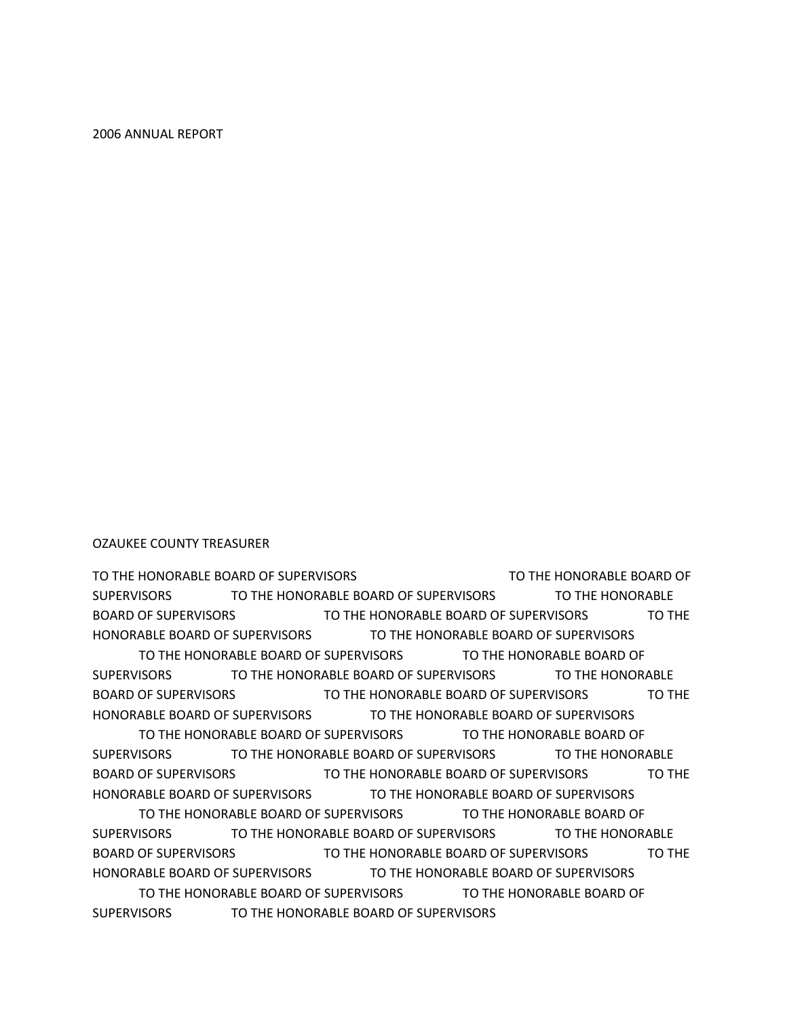TO THE HONORABLE BOARD OF SUPERVISORS TO THE HONORABLE BOARD OF SUPERVISORS TO THE HONORABLE BOARD OF SUPERVISORS TO THE HONORABLE BOARD OF SUPERVISORS TO THE HONORABLE BOARD OF SUPERVISORS TO THE HONORABLE BOARD OF SUPERVISORS TO THE HONORABLE BOARD OF SUPERVISORS TO THE HONORABLE BOARD OF SUPERVISORS TO THE HONORABLE BOARD OF SUPERVISORS TO THE HONORABLE BOARD OF SUPERVISORS TO THE HONORABLE BOARD OF SUPERVISORS TO THE HONORABLE BOARD OF SUPERVISORS TO THE HONORABLE BOARD OF SUPERVISORS TO THE HONORABLE BOARD OF SUPERVISORS TO THE HONORABLE BOARD OF SUPERVISORS TO THE HONORABLE BOARD OF SUPERVISORS TO THE HONORABLE BOARD OF SUPERVISORS

TO THE HONORABLE BOARD OF SUPERVISORS TO THE HONORABLE BOARD OF SUPERVISORS TO THE HONORABLE BOARD OF SUPERVISORS TO THE HONORABLE BOARD OF SUPERVISORS TO THE HONORABLE BOARD OF SUPERVISORS TO THE HONORABLE BOARD OF SUPERVISORS TO THE HONORABLE BOARD OF SUPERVISORS TO THE HONORABLE BOARD OF SUPERVISORS TO THE HONORABLE BOARD OF SUPERVISORS TO THE HONORABLE BOARD OF SUPERVISORS TO THE HONORABLE BOARD OF SUPERVISORS TO THE HONORABLE BOARD OF SUPERVISORS TO THE HONORABLE BOARD OF SUPERVISORS TO THE HONORABLE BOARD OF SUPERVISORS

OZAUKEE COUNTY TREASURER

2006 ANNUAL REPORT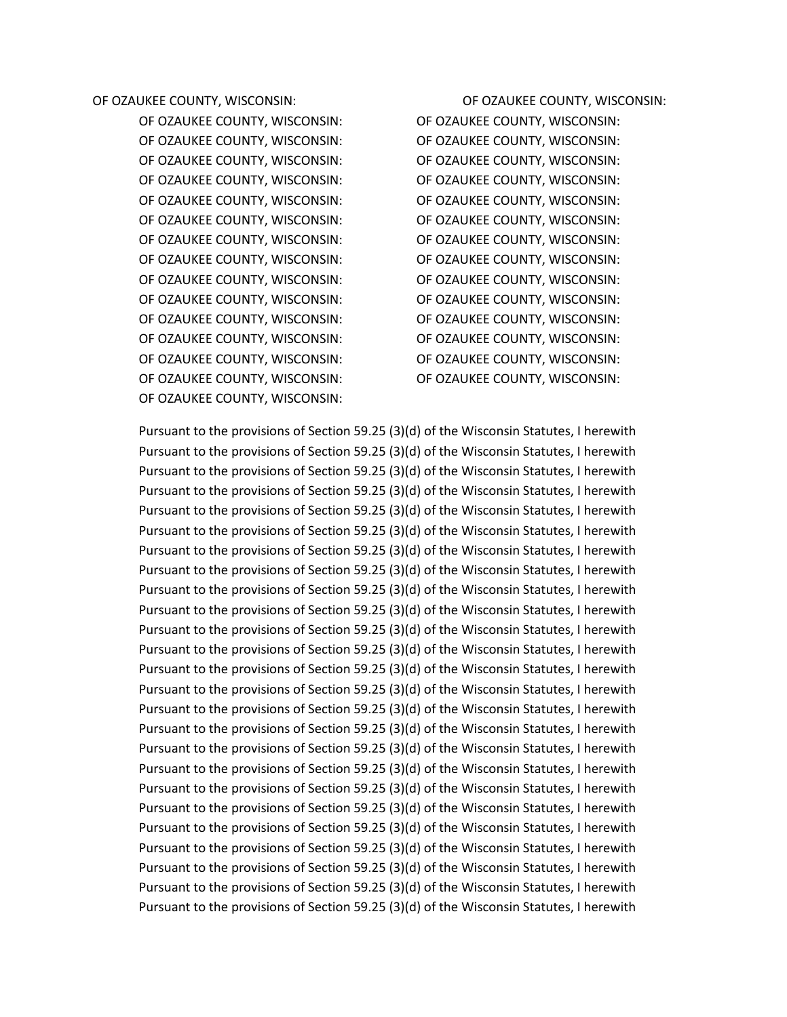OF OZAUKEE COUNTY, WISCONSIN: OF OZAUKEE COUNTY, WISCONSIN: OF OZAUKEE COUNTY, WISCONSIN: OF OZAUKEE COUNTY, WISCONSIN: OF OZAUKEE COUNTY, WISCONSIN: OF OZAUKEE COUNTY, WISCONSIN: OF OZAUKEE COUNTY, WISCONSIN: OF OZAUKEE COUNTY, WISCONSIN: OF OZAUKEE COUNTY, WISCONSIN: OF OZAUKEE COUNTY, WISCONSIN: OF OZAUKEE COUNTY, WISCONSIN: OF OZAUKEE COUNTY, WISCONSIN: OF OZAUKEE COUNTY, WISCONSIN: OF OZAUKEE COUNTY, WISCONSIN: OF OZAUKEE COUNTY, WISCONSIN: OF OZAUKEE COUNTY, WISCONSIN: OF OZAUKEE COUNTY, WISCONSIN: OF OZAUKEE COUNTY, WISCONSIN: OF OZAUKEE COUNTY, WISCONSIN: OF OZAUKEE COUNTY, WISCONSIN: OF OZAUKEE COUNTY, WISCONSIN: OF OZAUKEE COUNTY, WISCONSIN: OF OZAUKEE COUNTY, WISCONSIN: OF OZAUKEE COUNTY, WISCONSIN: OF OZAUKEE COUNTY, WISCONSIN: OF OZAUKEE COUNTY, WISCONSIN: OF OZAUKEE COUNTY, WISCONSIN:

OF OZAUKEE COUNTY, WISCONSIN: OF OZAUKEE COUNTY, WISCONSIN: OF OZAUKEE COUNTY, WISCONSIN: OF OZAUKEE COUNTY, WISCONSIN:

Pursuant to the provisions of Section 59.25 (3)(d) of the Wisconsin Statutes, I herewith Pursuant to the provisions of Section 59.25 (3)(d) of the Wisconsin Statutes, I herewith Pursuant to the provisions of Section 59.25 (3)(d) of the Wisconsin Statutes, I herewith Pursuant to the provisions of Section 59.25 (3)(d) of the Wisconsin Statutes, I herewith Pursuant to the provisions of Section 59.25 (3)(d) of the Wisconsin Statutes, I herewith Pursuant to the provisions of Section 59.25 (3)(d) of the Wisconsin Statutes, I herewith Pursuant to the provisions of Section 59.25 (3)(d) of the Wisconsin Statutes, I herewith Pursuant to the provisions of Section 59.25 (3)(d) of the Wisconsin Statutes, I herewith Pursuant to the provisions of Section 59.25 (3)(d) of the Wisconsin Statutes, I herewith Pursuant to the provisions of Section 59.25 (3)(d) of the Wisconsin Statutes, I herewith Pursuant to the provisions of Section 59.25 (3)(d) of the Wisconsin Statutes, I herewith Pursuant to the provisions of Section 59.25 (3)(d) of the Wisconsin Statutes, I herewith Pursuant to the provisions of Section 59.25 (3)(d) of the Wisconsin Statutes, I herewith Pursuant to the provisions of Section 59.25 (3)(d) of the Wisconsin Statutes, I herewith Pursuant to the provisions of Section 59.25 (3)(d) of the Wisconsin Statutes, I herewith Pursuant to the provisions of Section 59.25 (3)(d) of the Wisconsin Statutes, I herewith Pursuant to the provisions of Section 59.25 (3)(d) of the Wisconsin Statutes, I herewith Pursuant to the provisions of Section 59.25 (3)(d) of the Wisconsin Statutes, I herewith Pursuant to the provisions of Section 59.25 (3)(d) of the Wisconsin Statutes, I herewith Pursuant to the provisions of Section 59.25 (3)(d) of the Wisconsin Statutes, I herewith Pursuant to the provisions of Section 59.25 (3)(d) of the Wisconsin Statutes, I herewith Pursuant to the provisions of Section 59.25 (3)(d) of the Wisconsin Statutes, I herewith Pursuant to the provisions of Section 59.25 (3)(d) of the Wisconsin Statutes, I herewith Pursuant to the provisions of Section 59.25 (3)(d) of the Wisconsin Statutes, I herewith Pursuant to the provisions of Section 59.25 (3)(d) of the Wisconsin Statutes, I herewith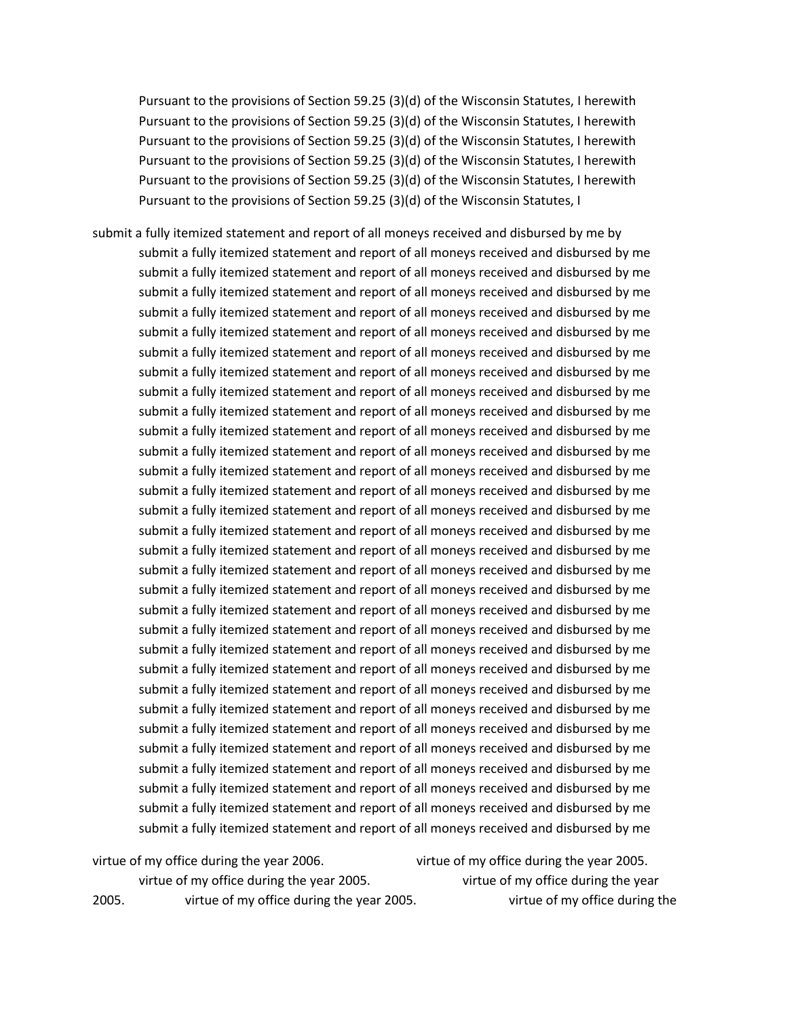Pursuant to the provisions of Section 59.25 (3)(d) of the Wisconsin Statutes, I herewith Pursuant to the provisions of Section 59.25 (3)(d) of the Wisconsin Statutes, I herewith Pursuant to the provisions of Section 59.25 (3)(d) of the Wisconsin Statutes, I herewith Pursuant to the provisions of Section 59.25 (3)(d) of the Wisconsin Statutes, I herewith Pursuant to the provisions of Section 59.25 (3)(d) of the Wisconsin Statutes, I herewith Pursuant to the provisions of Section 59.25 (3)(d) of the Wisconsin Statutes, I

submit a fully itemized statement and report of all moneys received and disbursed by me by submit a fully itemized statement and report of all moneys received and disbursed by me submit a fully itemized statement and report of all moneys received and disbursed by me submit a fully itemized statement and report of all moneys received and disbursed by me submit a fully itemized statement and report of all moneys received and disbursed by me submit a fully itemized statement and report of all moneys received and disbursed by me submit a fully itemized statement and report of all moneys received and disbursed by me submit a fully itemized statement and report of all moneys received and disbursed by me submit a fully itemized statement and report of all moneys received and disbursed by me submit a fully itemized statement and report of all moneys received and disbursed by me submit a fully itemized statement and report of all moneys received and disbursed by me submit a fully itemized statement and report of all moneys received and disbursed by me submit a fully itemized statement and report of all moneys received and disbursed by me submit a fully itemized statement and report of all moneys received and disbursed by me submit a fully itemized statement and report of all moneys received and disbursed by me submit a fully itemized statement and report of all moneys received and disbursed by me submit a fully itemized statement and report of all moneys received and disbursed by me submit a fully itemized statement and report of all moneys received and disbursed by me submit a fully itemized statement and report of all moneys received and disbursed by me submit a fully itemized statement and report of all moneys received and disbursed by me submit a fully itemized statement and report of all moneys received and disbursed by me submit a fully itemized statement and report of all moneys received and disbursed by me submit a fully itemized statement and report of all moneys received and disbursed by me submit a fully itemized statement and report of all moneys received and disbursed by me submit a fully itemized statement and report of all moneys received and disbursed by me submit a fully itemized statement and report of all moneys received and disbursed by me submit a fully itemized statement and report of all moneys received and disbursed by me submit a fully itemized statement and report of all moneys received and disbursed by me submit a fully itemized statement and report of all moneys received and disbursed by me submit a fully itemized statement and report of all moneys received and disbursed by me submit a fully itemized statement and report of all moneys received and disbursed by me

|       | virtue of my office during the year 2006. | virtue of my office during the year 2005. |
|-------|-------------------------------------------|-------------------------------------------|
|       | virtue of my office during the year 2005. | virtue of my office during the year       |
| 2005. | virtue of my office during the year 2005. | virtue of my office during the            |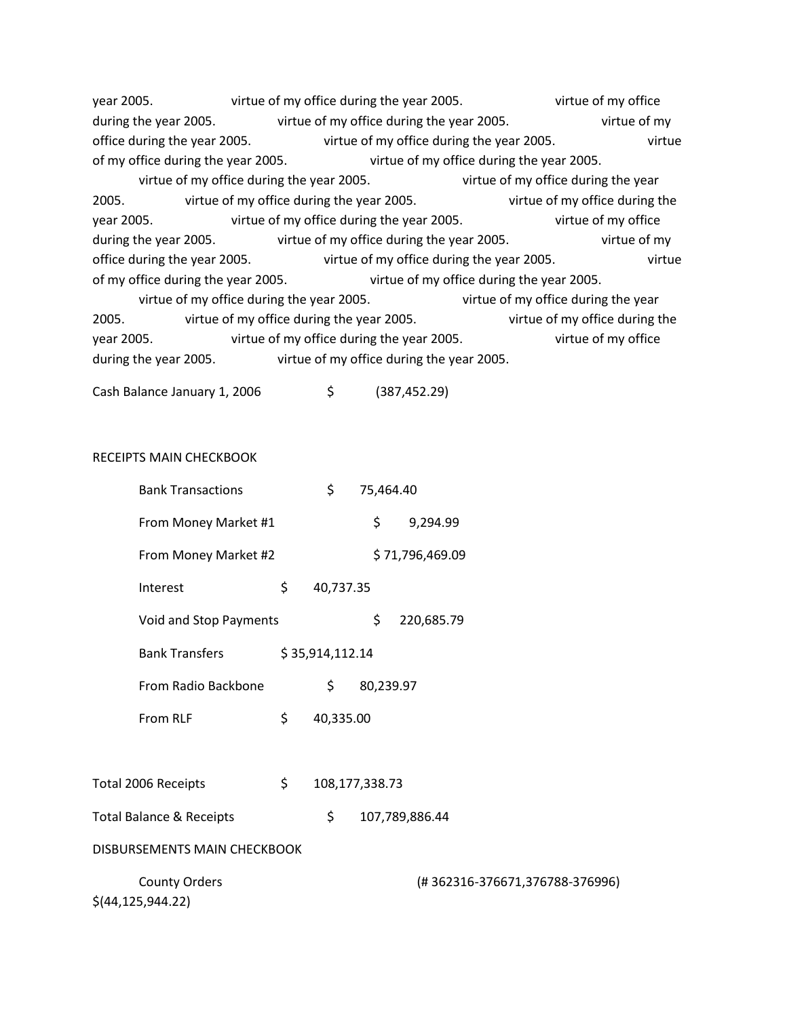year 2005. virtue of my office during the year 2005. virtue of my office during the year 2005. The virtue of my office during the year 2005. The virtue of my office during the year 2005. virtue of my office during the year 2005. virtue of my office during the year 2005. virtue of my office during the year 2005. virtue of my office during the year 2005. virtue of my office during the year 2005. virtue of my office during the year 2005. virtue of my office during the year 2005. virtue of my office during the year 2005. virtue of my office during the year 2005. virtue of my office during the year 2005. virtue of my office during the year 2005. virtue of my office during the year 2005. virtue of my office during the year 2005. virtue of my office during the year 2005. virtue of my office during the year 2005. virtue of my office during the year 2005. virtue of my office during the year 2005. virtue of my office during the year 2005. virtue of my office during the year 2005. virtue of my office during the year 2005. virtue of my office during the year 2005.

Cash Balance January 1, 2006 \$ (387,452.29)

## RECEIPTS MAIN CHECKBOOK

| <b>Bank Transactions</b>                    | \$                   | 75,464.40 |                 |                                |  |  |
|---------------------------------------------|----------------------|-----------|-----------------|--------------------------------|--|--|
| From Money Market #1                        |                      | \$        | 9,294.99        |                                |  |  |
| From Money Market #2                        |                      |           | \$71,796,469.09 |                                |  |  |
| Interest                                    | \$<br>40,737.35      |           |                 |                                |  |  |
| Void and Stop Payments                      |                      | \$        | 220,685.79      |                                |  |  |
| <b>Bank Transfers</b>                       | \$35,914,112.14      |           |                 |                                |  |  |
| From Radio Backbone                         | \$                   | 80,239.97 |                 |                                |  |  |
| From RLF                                    | \$<br>40,335.00      |           |                 |                                |  |  |
|                                             |                      |           |                 |                                |  |  |
| Total 2006 Receipts                         | \$<br>108,177,338.73 |           |                 |                                |  |  |
| <b>Total Balance &amp; Receipts</b>         | \$                   |           | 107,789,886.44  |                                |  |  |
| DISBURSEMENTS MAIN CHECKBOOK                |                      |           |                 |                                |  |  |
| <b>County Orders</b><br>\$(44, 125, 944.22) |                      |           |                 | (#362316-376671,376788-376996) |  |  |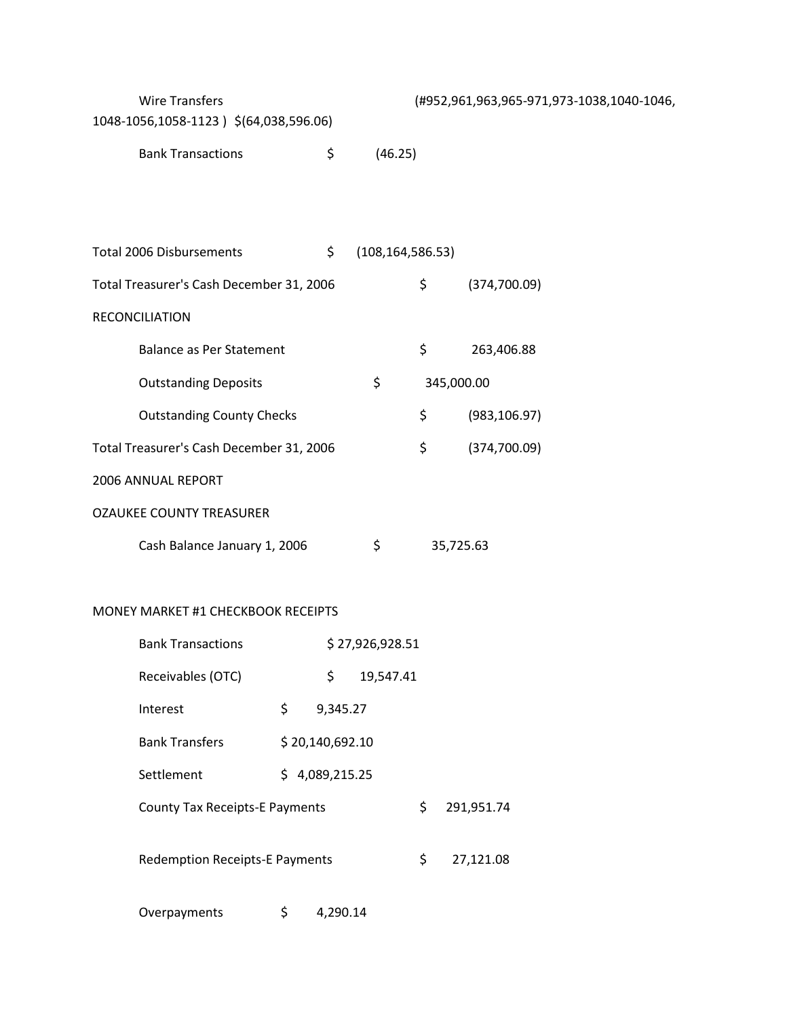| <b>Wire Transfers</b><br>1048-1056,1058-1123) \$(64,038,596.06) |                 |                    |         | (#952,961,963,965-971,973-1038,1040-1046, |  |
|-----------------------------------------------------------------|-----------------|--------------------|---------|-------------------------------------------|--|
| <b>Bank Transactions</b>                                        | \$              |                    | (46.25) |                                           |  |
|                                                                 |                 |                    |         |                                           |  |
|                                                                 |                 |                    |         |                                           |  |
| Total 2006 Disbursements                                        | \$              | (108, 164, 586.53) |         |                                           |  |
| Total Treasurer's Cash December 31, 2006                        |                 |                    | \$      | (374,700.09)                              |  |
| RECONCILIATION                                                  |                 |                    |         |                                           |  |
| <b>Balance as Per Statement</b>                                 |                 |                    | \$      | 263,406.88                                |  |
| <b>Outstanding Deposits</b>                                     |                 | \$                 |         | 345,000.00                                |  |
| <b>Outstanding County Checks</b>                                |                 |                    | \$      | (983, 106.97)                             |  |
| Total Treasurer's Cash December 31, 2006                        |                 |                    | \$      | (374, 700.09)                             |  |
| 2006 ANNUAL REPORT                                              |                 |                    |         |                                           |  |
| <b>OZAUKEE COUNTY TREASURER</b>                                 |                 |                    |         |                                           |  |
| Cash Balance January 1, 2006                                    |                 | \$                 |         | 35,725.63                                 |  |
|                                                                 |                 |                    |         |                                           |  |
| MONEY MARKET #1 CHECKBOOK RECEIPTS                              |                 |                    |         |                                           |  |
| <b>Bank Transactions</b>                                        |                 | \$27,926,928.51    |         |                                           |  |
| Receivables (OTC)                                               | \$              | 19,547.41          |         |                                           |  |
| Interest                                                        | \$<br>9,345.27  |                    |         |                                           |  |
| <b>Bank Transfers</b>                                           | \$20,140,692.10 |                    |         |                                           |  |
| Settlement                                                      | \$4,089,215.25  |                    |         |                                           |  |
| <b>County Tax Receipts-E Payments</b>                           |                 |                    | \$      | 291,951.74                                |  |
|                                                                 |                 |                    |         |                                           |  |
| <b>Redemption Receipts-E Payments</b>                           |                 |                    | \$      | 27,121.08                                 |  |
| Overpayments                                                    | \$<br>4,290.14  |                    |         |                                           |  |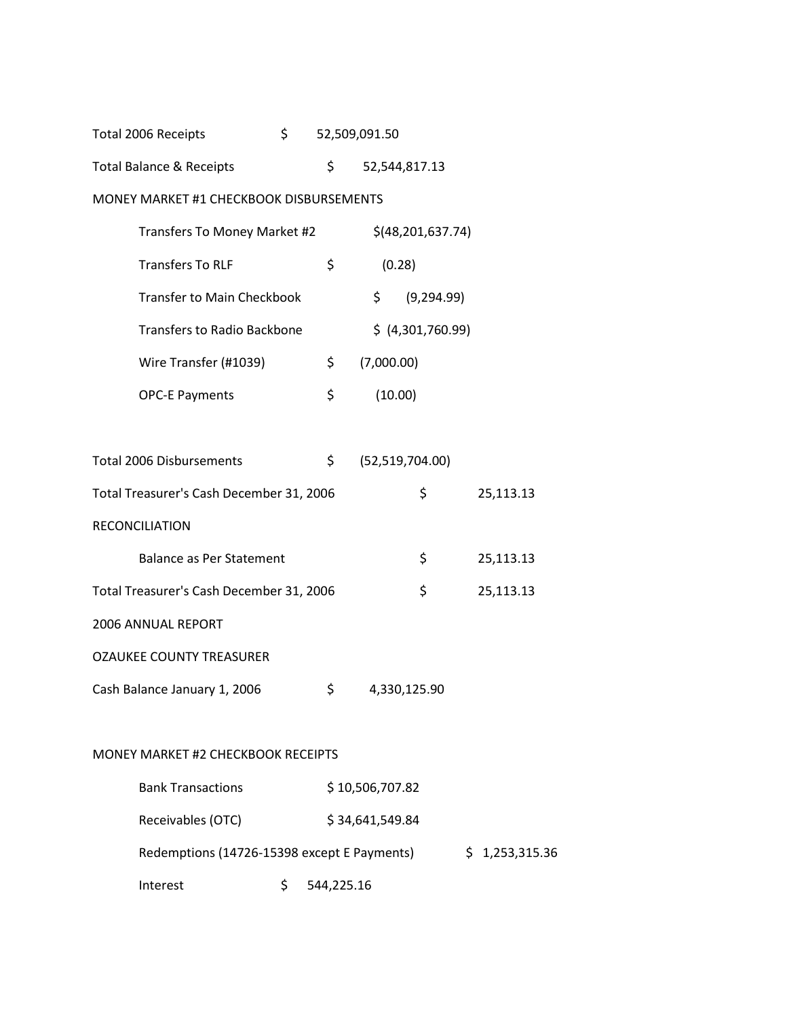| \$<br>Total 2006 Receipts |                                           |    | 52,509,091.50   |                     |           |
|---------------------------|-------------------------------------------|----|-----------------|---------------------|-----------|
|                           | <b>Total Balance &amp; Receipts</b>       | \$ |                 | 52,544,817.13       |           |
|                           | MONEY MARKET #1 CHECKBOOK DISBURSEMENTS   |    |                 |                     |           |
|                           | Transfers To Money Market #2              |    |                 | $$$ (48,201,637.74) |           |
|                           | <b>Transfers To RLF</b>                   | \$ | (0.28)          |                     |           |
|                           | <b>Transfer to Main Checkbook</b>         |    | \$              | (9, 294.99)         |           |
|                           | <b>Transfers to Radio Backbone</b>        |    |                 | \$ (4,301,760.99)   |           |
|                           | Wire Transfer (#1039)                     | \$ | (7,000.00)      |                     |           |
|                           | <b>OPC-E Payments</b>                     | \$ | (10.00)         |                     |           |
|                           |                                           |    |                 |                     |           |
|                           | <b>Total 2006 Disbursements</b>           | \$ |                 | (52, 519, 704.00)   |           |
|                           | Total Treasurer's Cash December 31, 2006  |    |                 | \$                  | 25,113.13 |
|                           | <b>RECONCILIATION</b>                     |    |                 |                     |           |
|                           | <b>Balance as Per Statement</b>           |    |                 | \$                  | 25,113.13 |
|                           | Total Treasurer's Cash December 31, 2006  |    |                 | \$                  | 25,113.13 |
|                           | 2006 ANNUAL REPORT                        |    |                 |                     |           |
|                           | <b>OZAUKEE COUNTY TREASURER</b>           |    |                 |                     |           |
|                           | Cash Balance January 1, 2006              | \$ |                 | 4,330,125.90        |           |
|                           |                                           |    |                 |                     |           |
|                           | <b>MONEY MARKET #2 CHECKBOOK RECEIPTS</b> |    |                 |                     |           |
|                           | <b>Bank Transactions</b>                  |    | \$10,506,707.82 |                     |           |
|                           | Receivables (OTC)                         |    | \$34,641,549.84 |                     |           |
|                           |                                           |    |                 |                     |           |

Redemptions (14726-15398 except E Payments) \$ 1,253,315.36

Interest \$ 544,225.16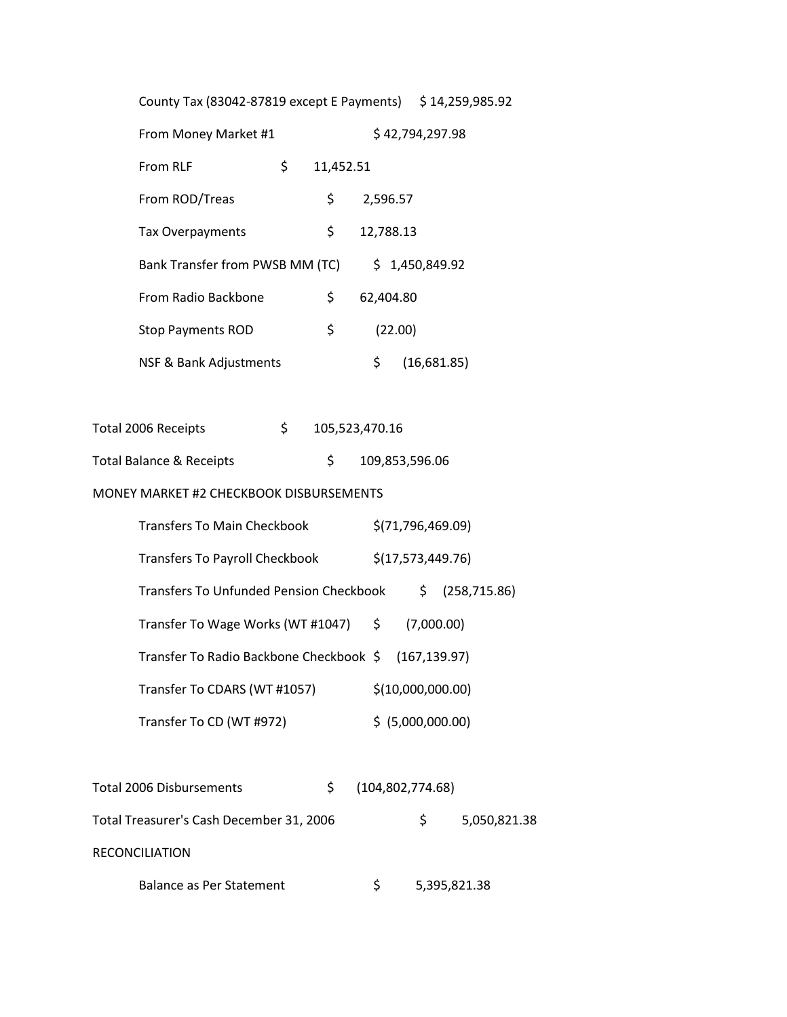| County Tax (83042-87819 except E Payments) \$14,259,985.92 |         |    |                    |                   |               |  |  |  |  |
|------------------------------------------------------------|---------|----|--------------------|-------------------|---------------|--|--|--|--|
| From Money Market #1<br>\$42,794,297.98                    |         |    |                    |                   |               |  |  |  |  |
| \$<br>From RLF<br>11,452.51                                |         |    |                    |                   |               |  |  |  |  |
| From ROD/Treas                                             |         | \$ | 2,596.57           |                   |               |  |  |  |  |
| Tax Overpayments                                           |         | \$ | 12,788.13          |                   |               |  |  |  |  |
| Bank Transfer from PWSB MM (TC)                            |         |    |                    | \$1,450,849.92    |               |  |  |  |  |
| From Radio Backbone                                        |         | \$ | 62,404.80          |                   |               |  |  |  |  |
| <b>Stop Payments ROD</b>                                   |         | \$ | (22.00)            |                   |               |  |  |  |  |
| NSF & Bank Adjustments                                     |         |    | \$                 | (16,681.85)       |               |  |  |  |  |
|                                                            |         |    |                    |                   |               |  |  |  |  |
| Total 2006 Receipts                                        | $\zeta$ |    | 105,523,470.16     |                   |               |  |  |  |  |
| <b>Total Balance &amp; Receipts</b>                        |         | \$ |                    | 109,853,596.06    |               |  |  |  |  |
| MONEY MARKET #2 CHECKBOOK DISBURSEMENTS                    |         |    |                    |                   |               |  |  |  |  |
| <b>Transfers To Main Checkbook</b>                         |         |    |                    | \$(71,796,469.09) |               |  |  |  |  |
| Transfers To Payroll Checkbook \$(17,573,449.76)           |         |    |                    |                   |               |  |  |  |  |
| Transfers To Unfunded Pension Checkbook \$                 |         |    |                    |                   | (258, 715.86) |  |  |  |  |
| Transfer To Wage Works (WT #1047) \$ (7,000.00)            |         |    |                    |                   |               |  |  |  |  |
| Transfer To Radio Backbone Checkbook \$ (167,139.97)       |         |    |                    |                   |               |  |  |  |  |
| Transfer To CDARS (WT #1057)                               |         |    |                    | \$(10,000,000.00) |               |  |  |  |  |
| Transfer To CD (WT #972)                                   |         |    |                    | \$ (5,000,000.00) |               |  |  |  |  |
|                                                            |         |    |                    |                   |               |  |  |  |  |
| <b>Total 2006 Disbursements</b>                            |         | \$ | (104, 802, 774.68) |                   |               |  |  |  |  |
| Total Treasurer's Cash December 31, 2006                   |         |    |                    | \$                | 5,050,821.38  |  |  |  |  |

RECONCILIATION

| Balance as Per Statement |  | 5,395,821.38 |
|--------------------------|--|--------------|
|--------------------------|--|--------------|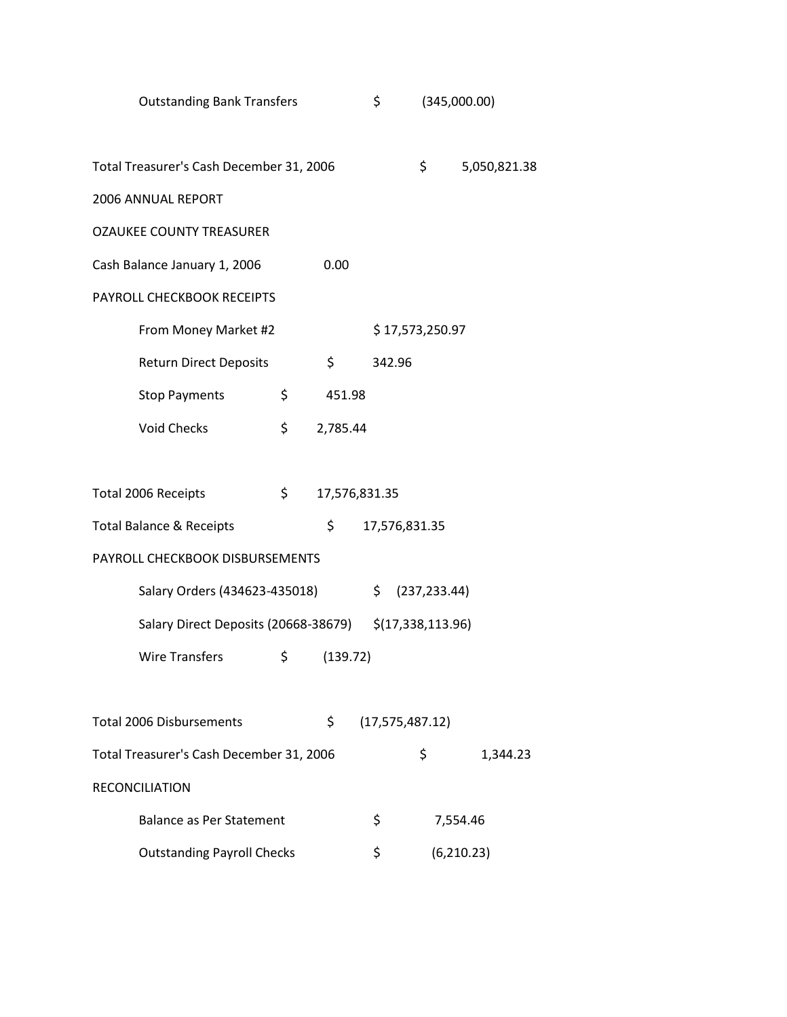| <b>Outstanding Bank Transfers</b>                      |                     | \$                | (345,000.00)  |              |
|--------------------------------------------------------|---------------------|-------------------|---------------|--------------|
| Total Treasurer's Cash December 31, 2006               |                     |                   | \$            | 5,050,821.38 |
| 2006 ANNUAL REPORT                                     |                     |                   |               |              |
| <b>OZAUKEE COUNTY TREASURER</b>                        |                     |                   |               |              |
| Cash Balance January 1, 2006                           | 0.00                |                   |               |              |
| PAYROLL CHECKBOOK RECEIPTS                             |                     |                   |               |              |
| From Money Market #2                                   |                     | \$17,573,250.97   |               |              |
| <b>Return Direct Deposits</b>                          | \$                  | 342.96            |               |              |
| <b>Stop Payments</b>                                   | \$<br>451.98        |                   |               |              |
| <b>Void Checks</b>                                     | \$<br>2,785.44      |                   |               |              |
|                                                        |                     |                   |               |              |
| Total 2006 Receipts                                    | \$<br>17,576,831.35 |                   |               |              |
| <b>Total Balance &amp; Receipts</b>                    | \$                  | 17,576,831.35     |               |              |
| PAYROLL CHECKBOOK DISBURSEMENTS                        |                     |                   |               |              |
| Salary Orders (434623-435018)                          |                     | \$                | (237, 233.44) |              |
| Salary Direct Deposits (20668-38679) \$(17,338,113.96) |                     |                   |               |              |
| <b>Wire Transfers</b>                                  | \$<br>(139.72)      |                   |               |              |
|                                                        |                     |                   |               |              |
| <b>Total 2006 Disbursements</b>                        | \$                  | (17, 575, 487.12) |               |              |
| Total Treasurer's Cash December 31, 2006               |                     |                   | \$            | 1,344.23     |
| <b>RECONCILIATION</b>                                  |                     |                   |               |              |
| <b>Balance as Per Statement</b>                        |                     | \$                | 7,554.46      |              |
| <b>Outstanding Payroll Checks</b>                      |                     | \$                |               | (6,210.23)   |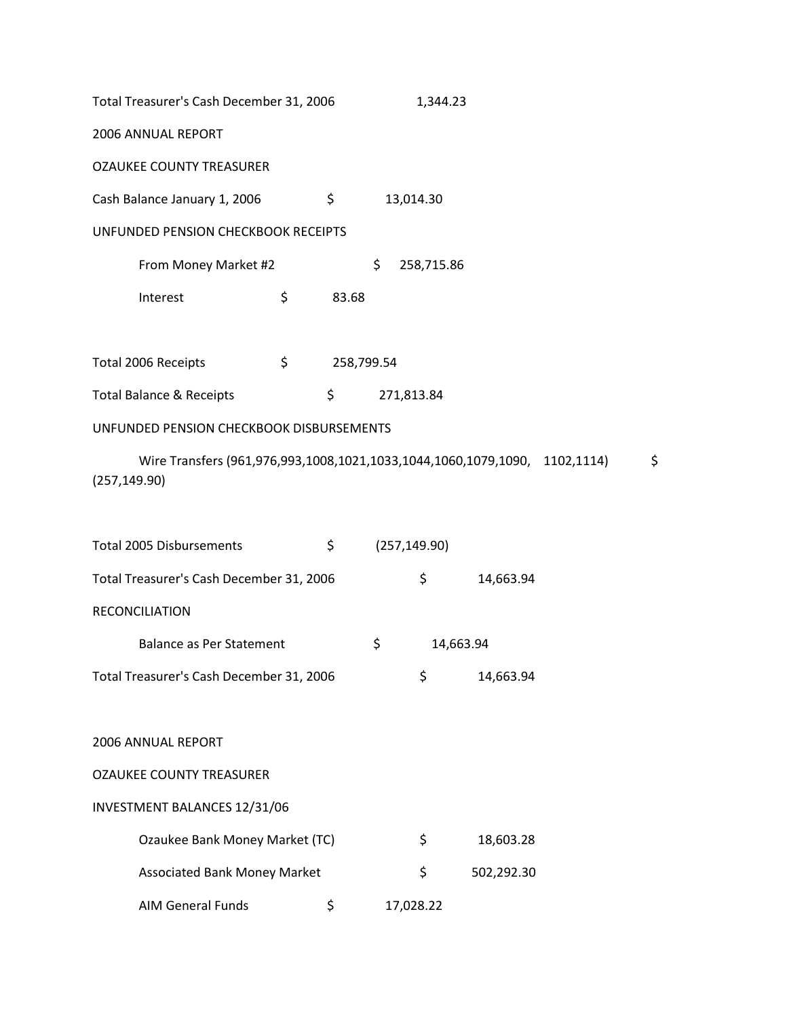| Total Treasurer's Cash December 31, 2006 |    |            | 1,344.23         |
|------------------------------------------|----|------------|------------------|
| <b>2006 ANNUAL REPORT</b>                |    |            |                  |
| <b>OZAUKEE COUNTY TREASURER</b>          |    |            |                  |
| Cash Balance January 1, 2006             |    | \$         | 13,014.30        |
| UNFUNDED PENSION CHECKBOOK RECEIPTS      |    |            |                  |
| From Money Market #2                     |    |            | \$<br>258,715.86 |
| Interest                                 | \$ | 83.68      |                  |
|                                          |    |            |                  |
| Total 2006 Receints                      | ¢  | 258 799 51 |                  |

| TULAI ZUUU NELEIPIS      |  | 20,799.94  |
|--------------------------|--|------------|
| Total Balance & Receipts |  | 271,813.84 |

# UNFUNDED PENSION CHECKBOOK DISBURSEMENTS

Wire Transfers (961,976,993,1008,1021,1033,1044,1060,1079,1090, 1102,1114) \$ (257,149.90)

| <b>Total 2005 Disbursements</b>          | \$<br>(257, 149.90) |           |            |
|------------------------------------------|---------------------|-----------|------------|
| Total Treasurer's Cash December 31, 2006 |                     | \$        | 14,663.94  |
| <b>RECONCILIATION</b>                    |                     |           |            |
| Balance as Per Statement                 | \$                  | 14,663.94 |            |
| Total Treasurer's Cash December 31, 2006 |                     | \$        | 14,663.94  |
|                                          |                     |           |            |
| <b>2006 ANNUAL REPORT</b>                |                     |           |            |
| <b>OZAUKEE COUNTY TREASURER</b>          |                     |           |            |
| <b>INVESTMENT BALANCES 12/31/06</b>      |                     |           |            |
| Ozaukee Bank Money Market (TC)           |                     | \$        | 18,603.28  |
| <b>Associated Bank Money Market</b>      |                     | \$        | 502,292.30 |
| <b>AIM General Funds</b>                 | \$<br>17,028.22     |           |            |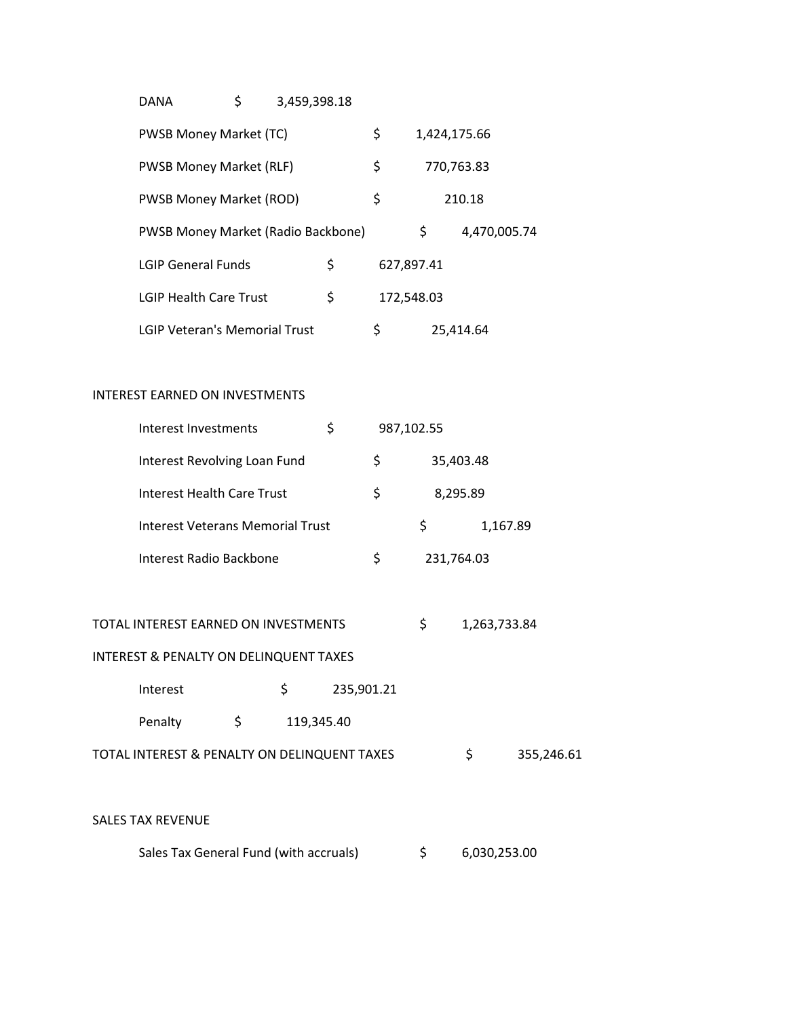| DANA                                 | \$<br>3,459,398.18 |                  |                    |
|--------------------------------------|--------------------|------------------|--------------------|
| <b>PWSB Money Market (TC)</b>        |                    | \$               | 1,424,175.66       |
| <b>PWSB Money Market (RLF)</b>       |                    | \$               | 770,763.83         |
| <b>PWSB Money Market (ROD)</b>       |                    | \$               | 210.18             |
| PWSB Money Market (Radio Backbone)   |                    |                  | \$<br>4,470,005.74 |
| <b>LGIP General Funds</b>            |                    | \$<br>627,897.41 |                    |
| <b>LGIP Health Care Trust</b>        |                    | \$<br>172,548.03 |                    |
| <b>LGIP Veteran's Memorial Trust</b> |                    | \$               | 25.414.64          |

## INTEREST EARNED ON INVESTMENTS

| Interest Investments                    | \$ | 987,102.55 |          |
|-----------------------------------------|----|------------|----------|
| Interest Revolving Loan Fund            | Ś  | 35,403.48  |          |
| Interest Health Care Trust              | \$ | 8,295.89   |          |
| <b>Interest Veterans Memorial Trust</b> |    | S          | 1,167.89 |
| Interest Radio Backbone                 | S  | 231,764.03 |          |

TOTAL INTEREST EARNED ON INVESTMENTS  $$ 1,263,733.84$ 

# INTEREST & PENALTY ON DELINQUENT TAXES

| Interest                                     |    | 235,901.21 |    |            |
|----------------------------------------------|----|------------|----|------------|
| Penalty                                      | S. | 119.345.40 |    |            |
| TOTAL INTEREST & PENALTY ON DELINQUENT TAXES |    |            | S. | 355,246.61 |

# SALES TAX REVENUE

| Sales Tax General Fund (with accruals) |  | 6,030,253.00 |
|----------------------------------------|--|--------------|
|----------------------------------------|--|--------------|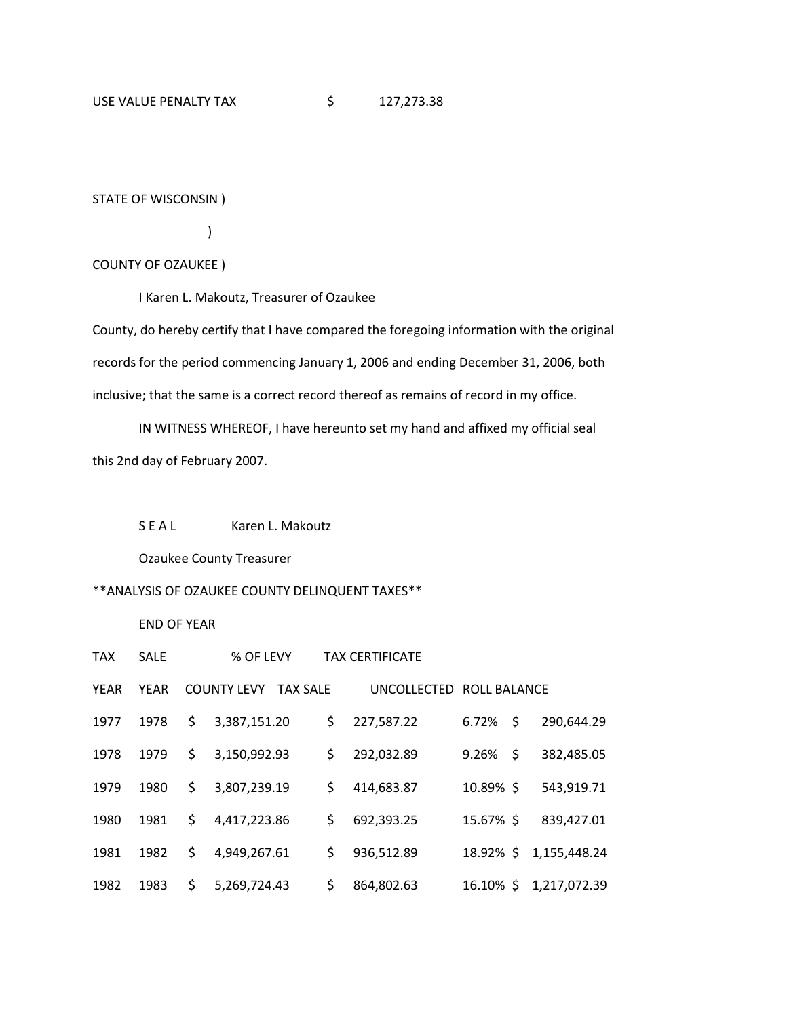#### STATE OF WISCONSIN )

)

#### COUNTY OF OZAUKEE )

I Karen L. Makoutz, Treasurer of Ozaukee

County, do hereby certify that I have compared the foregoing information with the original records for the period commencing January 1, 2006 and ending December 31, 2006, both inclusive; that the same is a correct record thereof as remains of record in my office.

IN WITNESS WHEREOF, I have hereunto set my hand and affixed my official seal this 2nd day of February 2007.

#### S E A L Karen L. Makoutz

Ozaukee County Treasurer

## \*\*ANALYSIS OF OZAUKEE COUNTY DELINQUENT TAXES\*\*

END OF YEAR

| <b>TAX</b>  | <b>SALE</b> |     | % OF LEVY          |                 | <b>TAX CERTIFICATE</b>   |           |      |                        |
|-------------|-------------|-----|--------------------|-----------------|--------------------------|-----------|------|------------------------|
| <b>YEAR</b> | <b>YEAR</b> |     | <b>COUNTY LEVY</b> | <b>TAX SALE</b> | UNCOLLECTED ROLL BALANCE |           |      |                        |
| 1977        | 1978        | \$  | 3,387,151.20       |                 | \$<br>227,587.22         | 6.72%     | - \$ | 290,644.29             |
| 1978        | 1979        | \$  | 3,150,992.93       |                 | \$<br>292,032.89         | 9.26%     | - \$ | 382,485.05             |
| 1979        | 1980        | \$  | 3,807,239.19       |                 | \$<br>414,683.87         | 10.89% \$ |      | 543,919.71             |
| 1980        | 1981        | \$. | 4,417,223.86       |                 | \$<br>692,393.25         | 15.67% \$ |      | 839,427.01             |
| 1981        | 1982        | \$  | 4,949,267.61       |                 | \$<br>936,512.89         |           |      | 18.92% \$ 1,155,448.24 |
| 1982        | 1983        | \$  | 5,269,724.43       |                 | \$<br>864,802.63         |           |      | 16.10% \$ 1,217,072.39 |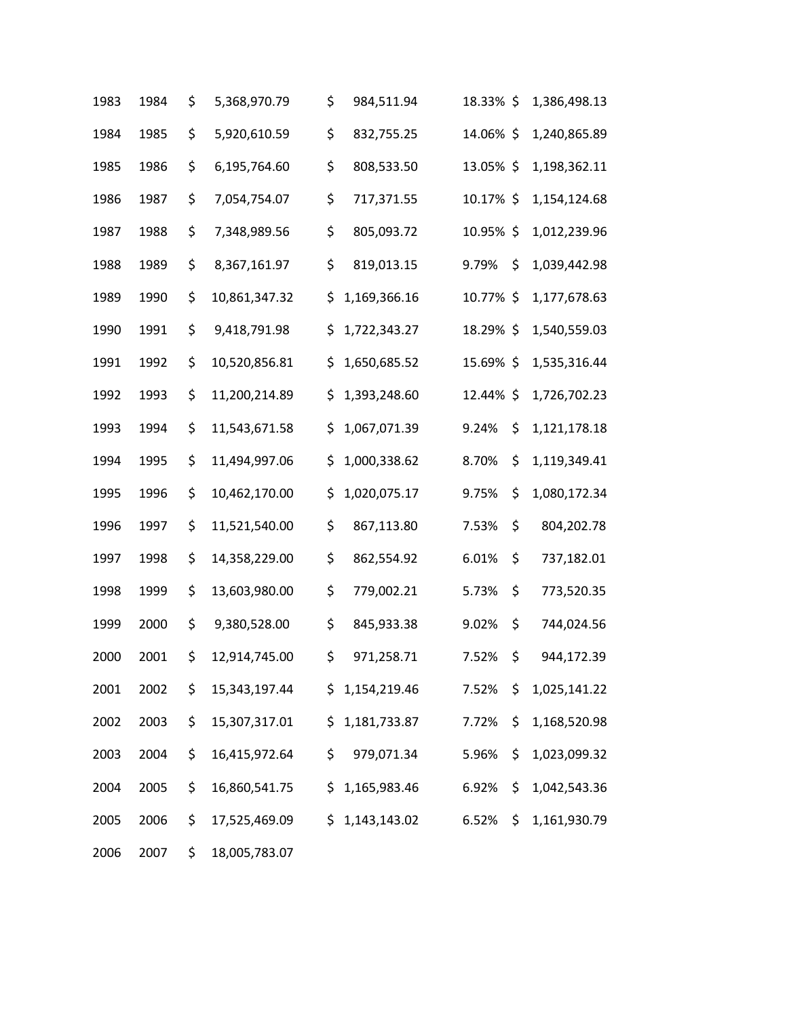| 1983 | 1984 | \$<br>5,368,970.79  | \$  | 984,511.94     | 18.33% \$ | 1,386,498.13       |
|------|------|---------------------|-----|----------------|-----------|--------------------|
| 1984 | 1985 | \$<br>5,920,610.59  | \$  | 832,755.25     | 14.06% \$ | 1,240,865.89       |
| 1985 | 1986 | \$<br>6,195,764.60  | \$  | 808,533.50     | 13.05% \$ | 1,198,362.11       |
| 1986 | 1987 | \$<br>7,054,754.07  | \$  | 717,371.55     | 10.17% \$ | 1,154,124.68       |
| 1987 | 1988 | \$<br>7,348,989.56  | \$  | 805,093.72     | 10.95% \$ | 1,012,239.96       |
| 1988 | 1989 | \$<br>8,367,161.97  | \$  | 819,013.15     | 9.79%     | \$<br>1,039,442.98 |
| 1989 | 1990 | \$<br>10,861,347.32 | \$  | 1,169,366.16   | 10.77% \$ | 1,177,678.63       |
| 1990 | 1991 | \$<br>9,418,791.98  | \$  | 1,722,343.27   | 18.29% \$ | 1,540,559.03       |
| 1991 | 1992 | \$<br>10,520,856.81 | \$  | 1,650,685.52   | 15.69% \$ | 1,535,316.44       |
| 1992 | 1993 | \$<br>11,200,214.89 | \$  | 1,393,248.60   | 12.44% \$ | 1,726,702.23       |
| 1993 | 1994 | \$<br>11,543,671.58 | \$  | 1,067,071.39   | 9.24%     | \$<br>1,121,178.18 |
| 1994 | 1995 | \$<br>11,494,997.06 | \$  | 1,000,338.62   | 8.70%     | \$<br>1,119,349.41 |
| 1995 | 1996 | \$<br>10,462,170.00 | \$  | 1,020,075.17   | 9.75%     | \$<br>1,080,172.34 |
| 1996 | 1997 | \$<br>11,521,540.00 | \$  | 867,113.80     | 7.53%     | \$<br>804,202.78   |
| 1997 | 1998 | \$<br>14,358,229.00 | \$  | 862,554.92     | 6.01%     | \$<br>737,182.01   |
| 1998 | 1999 | \$<br>13,603,980.00 | \$  | 779,002.21     | 5.73%     | \$<br>773,520.35   |
| 1999 | 2000 | \$<br>9,380,528.00  | \$  | 845,933.38     | 9.02%     | \$<br>744,024.56   |
| 2000 | 2001 | \$<br>12,914,745.00 | \$  | 971,258.71     | 7.52%     | \$<br>944,172.39   |
| 2001 | 2002 | \$<br>15,343,197.44 |     | \$1,154,219.46 | 7.52%     | \$<br>1,025,141.22 |
| 2002 | 2003 | \$<br>15,307,317.01 | \$  | 1,181,733.87   | 7.72%     | \$<br>1,168,520.98 |
| 2003 | 2004 | \$<br>16,415,972.64 | \$  | 979,071.34     | 5.96%     | \$<br>1,023,099.32 |
| 2004 | 2005 | \$<br>16,860,541.75 | \$  | 1,165,983.46   | 6.92%     | \$<br>1,042,543.36 |
| 2005 | 2006 | \$<br>17,525,469.09 | \$. | 1,143,143.02   | 6.52%     | \$<br>1,161,930.79 |
| 2006 | 2007 | \$<br>18,005,783.07 |     |                |           |                    |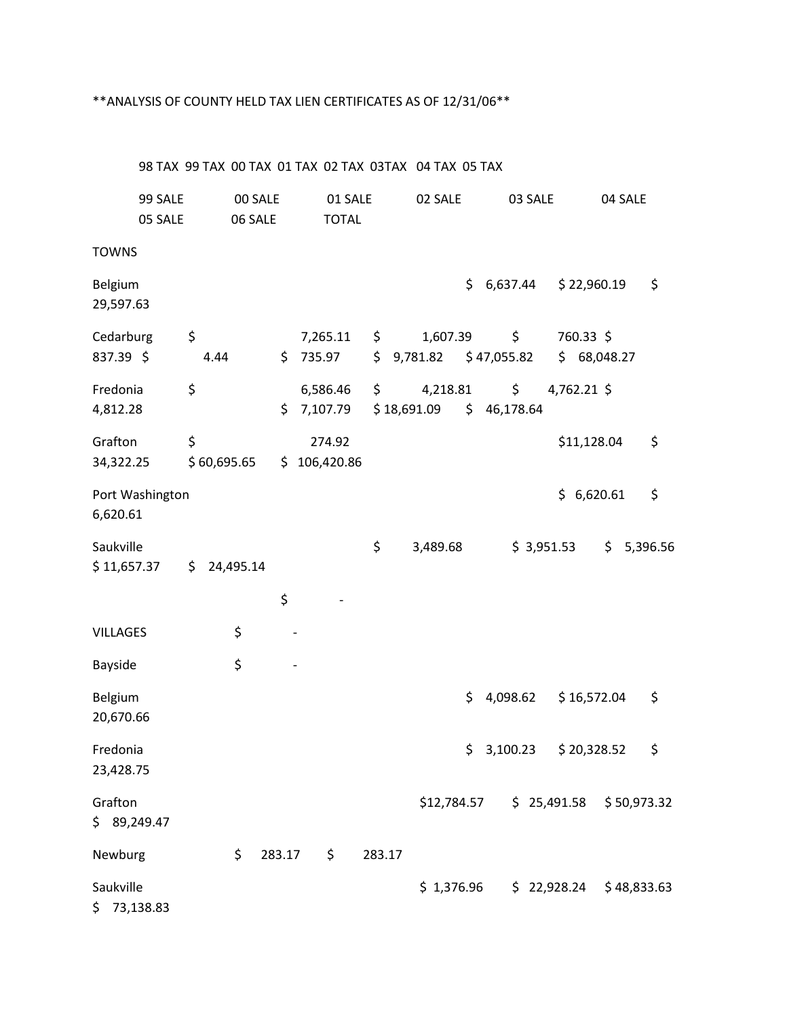#### \*\*ANALYSIS OF COUNTY HELD TAX LIEN CERTIFICATES AS OF 12/31/06\*\*

98 TAX 99 TAX 00 TAX 01 TAX 02 TAX 03TAX 04 TAX 05 TAX 99 SALE 00 SALE 01 SALE 02 SALE 03 SALE 04 SALE 05 SALE 06 SALE TOTAL **TOWNS** Belgium \$ 6,637.44 \$ 22,960.19 \$ 29,597.63 Cedarburg \$ 7,265.11 \$ 1,607.39 \$ 760.33 \$ 837.39 \$ 4.44 \$ 735.97 \$ 9,781.82 \$ 47,055.82 \$ 68,048.27 Fredonia \$ 6,586.46 \$ 4,218.81 \$ 4,762.21 \$ 4,812.28 \$ 7,107.79 \$ 18,691.09 \$ 46,178.64 Grafton \$ 274.92 \$11,128.04 \$ 34,322.25 \$ 60,695.65 \$ 106,420.86 Port Washington  $\angle$  6,620.61  $\angle$ 6,620.61 Saukville \$ 3,489.68 \$ 3,951.53 \$ 5,396.56 \$11,657.37 \$24,495.14  $\mathsf{S}$  -VILLAGES \$ Bayside \$ Belgium 6. 2008.62 \$ 16,572.04 \$ 20,670.66 Fredonia \$ 3,100.23 \$ 20,328.52 \$ 23,428.75 Grafton \$12,784.57 \$ 25,491.58 \$ 50,973.32 \$ 89,249.47 Newburg  $\begin{array}{ccc} \text{Newburg} & \text{S} & 283.17 & \text{S} & 283.17 \end{array}$ Saukville \$ 1,376.96 \$ 22,928.24 \$ 48,833.63 \$ 73,138.83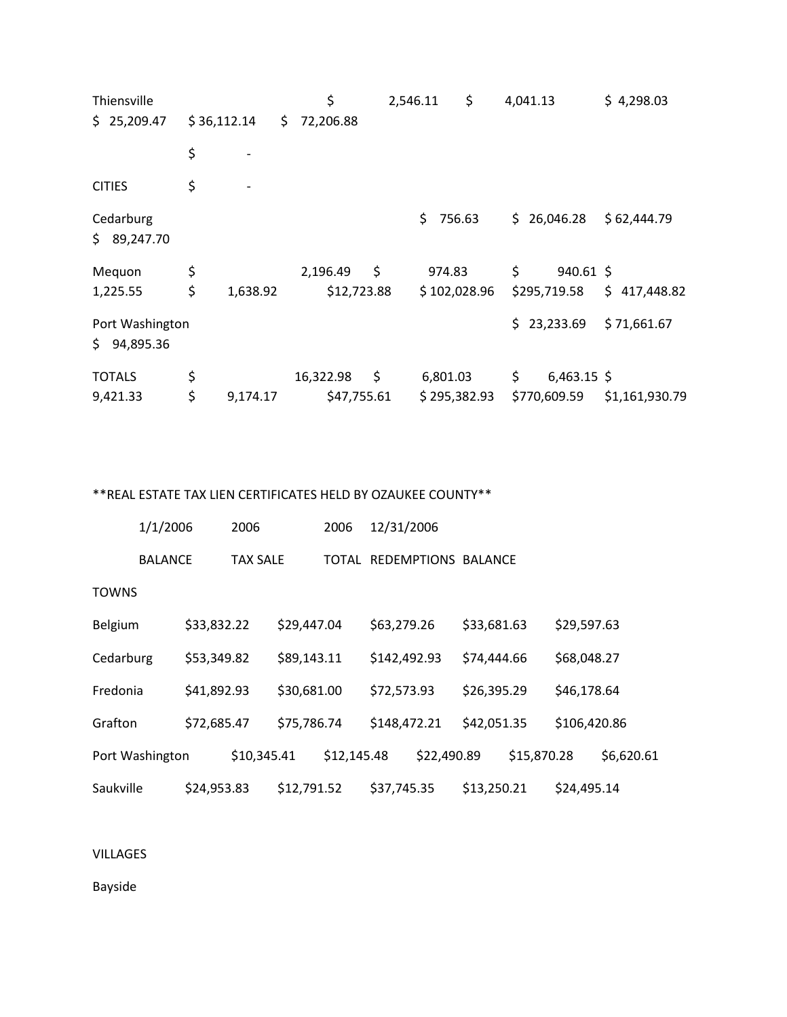| Thiensville                    |             |          |     | \$          | 2,546.11 |              | \$<br>4,041.13 |               | \$4,298.03     |  |
|--------------------------------|-------------|----------|-----|-------------|----------|--------------|----------------|---------------|----------------|--|
| \$25,209.47                    | \$36,112.14 |          | \$. | 72,206.88   |          |              |                |               |                |  |
|                                | \$          |          |     |             |          |              |                |               |                |  |
| <b>CITIES</b>                  | \$          |          |     |             |          |              |                |               |                |  |
| Cedarburg<br>\$9,247.70        |             |          |     |             |          | \$<br>756.63 | \$.            | 26,046.28     | \$62,444.79    |  |
| Mequon                         | \$          |          |     | 2,196.49    | \$       | 974.83       | \$             | 940.61 \$     |                |  |
| 1,225.55                       | \$          | 1,638.92 |     | \$12,723.88 |          | \$102,028.96 |                | \$295,719.58  | \$417,448.82   |  |
| Port Washington<br>\$94,895.36 |             |          |     |             |          |              |                | \$23,233.69   | \$71,661.67    |  |
| <b>TOTALS</b>                  | \$          |          |     | 16,322.98   | \$       | 6,801.03     | \$             | $6,463.15$ \$ |                |  |
| 9,421.33                       | \$          | 9,174.17 |     | \$47,755.61 |          | \$295,382.93 |                | \$770,609.59  | \$1,161,930.79 |  |

\*\*REAL ESTATE TAX LIEN CERTIFICATES HELD BY OZAUKEE COUNTY\*\*

|              | 1/1/2006        |             | 2006        |             | 2006        | 12/31/2006   |             |                           |             |              |            |
|--------------|-----------------|-------------|-------------|-------------|-------------|--------------|-------------|---------------------------|-------------|--------------|------------|
|              | <b>BALANCE</b>  |             | TAX SALE    |             |             |              |             | TOTAL REDEMPTIONS BALANCE |             |              |            |
| <b>TOWNS</b> |                 |             |             |             |             |              |             |                           |             |              |            |
| Belgium      |                 | \$33,832.22 |             | \$29,447.04 |             | \$63,279.26  |             | \$33,681.63               |             | \$29,597.63  |            |
| Cedarburg    |                 | \$53,349.82 |             | \$89,143.11 |             | \$142,492.93 |             | \$74,444.66               |             | \$68,048.27  |            |
| Fredonia     |                 | \$41,892.93 |             | \$30,681.00 |             | \$72,573.93  |             | \$26,395.29               |             | \$46,178.64  |            |
| Grafton      |                 | \$72,685.47 |             | \$75,786.74 |             | \$148,472.21 |             | \$42,051.35               |             | \$106,420.86 |            |
|              | Port Washington |             | \$10,345.41 |             | \$12,145.48 |              | \$22,490.89 |                           | \$15,870.28 |              | \$6,620.61 |
| Saukville    |                 | \$24,953.83 |             | \$12,791.52 |             | \$37,745.35  |             | \$13,250.21               |             | \$24,495.14  |            |

VILLAGES

Bayside